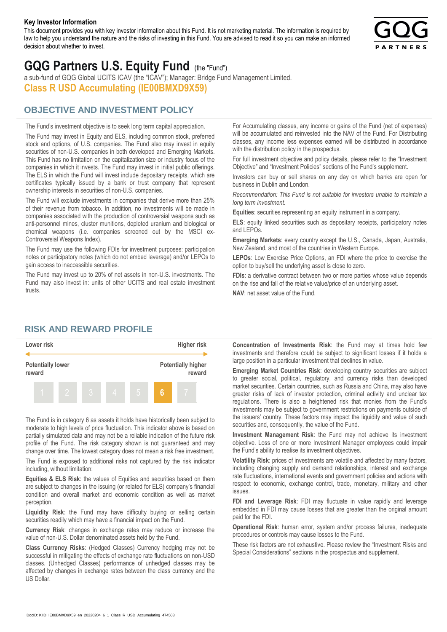#### **Key Investor Information**

This document provides you with key investor information about this Fund. It is not marketing material. The information is required by law to help you understand the nature and the risks of investing in this Fund. You are advised to read it so you can make an informed decision about whether to invest.



# **GQG Partners U.S. Equity Fund** (the "Fund")

a sub-fund of GQG Global UCITS ICAV (the "ICAV"); Manager: Bridge Fund Management Limited. **Class R USD Accumulating (IE00BMXD9X59)**

#### **OBJECTIVE AND INVESTMENT POLICY**

The Fund's investment objective is to seek long term capital appreciation. The Fund may invest in Equity and ELS, including common stock, preferred stock and options, of U.S. companies. The Fund also may invest in equity securities of non-U.S. companies in both developed and Emerging Markets. This Fund has no limitation on the capitalization size or industry focus of the companies in which it invests. The Fund may invest in initial public offerings. The ELS in which the Fund will invest include depositary receipts, which are certificates typically issued by a bank or trust company that represent ownership interests in securities of non-U.S. companies.

The Fund will exclude investments in companies that derive more than 25% of their revenue from tobacco. In addition, no investments will be made in companies associated with the production of controversial weapons such as anti-personnel mines, cluster munitions, depleted uranium and biological or chemical weapons (i.e. companies screened out by the MSCI ex-Controversial Weapons Index).

The Fund may use the following FDIs for investment purposes: participation notes or participatory notes (which do not embed leverage) and/or LEPOs to gain access to inaccessible securities.

The Fund may invest up to 20% of net assets in non-U.S. investments. The Fund may also invest in: units of other UCITS and real estate investment trusts.

For Accumulating classes, any income or gains of the Fund (net of expenses) will be accumulated and reinvested into the NAV of the Fund. For Distributing classes, any income less expenses earned will be distributed in accordance with the distribution policy in the prospectus.

For full investment objective and policy details, please refer to the "Investment Objective" and "Investment Policies" sections of the Fund's supplement.

Investors can buy or sell shares on any day on which banks are open for business in Dublin and London.

*Recommendation: This Fund is not suitable for investors unable to maintain a long term investment.*

**Equities**: securities representing an equity instrument in a company.

**ELS**: equity linked securities such as depositary receipts, participatory notes and LEPOs.

**Emerging Markets**: every country except the U.S., Canada, Japan, Australia, New Zealand, and most of the countries in Western Europe.

**LEPOs**: Low Exercise Price Options, an FDI where the price to exercise the option to buy/sell the underlying asset is close to zero.

**FDIs**: a derivative contract between two or more parties whose value depends on the rise and fall of the relative value/price of an underlying asset.

**NAV**: net asset value of the Fund.

#### **RISK AND REWARD PROFILE**



The Fund is in category 6 as assets it holds have historically been subject to moderate to high levels of price fluctuation. This indicator above is based on partially simulated data and may not be a reliable indication of the future risk profile of the Fund. The risk category shown is not guaranteed and may change over time. The lowest category does not mean a risk free investment.

The Fund is exposed to additional risks not captured by the risk indicator including, without limitation:

**Equities & ELS Risk**: the values of Equities and securities based on them are subject to changes in the issuing (or related for ELS) company's financial condition and overall market and economic condition as well as market perception.

**Liquidity Risk**: the Fund may have difficulty buying or selling certain securities readily which may have a financial impact on the Fund.

**Currency Risk**: changes in exchange rates may reduce or increase the value of non-U.S. Dollar denominated assets held by the Fund.

**Class Currency Risks**: (Hedged Classes) Currency hedging may not be successful in mitigating the effects of exchange rate fluctuations on non-USD classes. (Unhedged Classes) performance of unhedged classes may be affected by changes in exchange rates between the class currency and the US Dollar.

**Concentration of Investments Risk**: the Fund may at times hold few investments and therefore could be subject to significant losses if it holds a large position in a particular investment that declines in value.

**Emerging Market Countries Risk**: developing country securities are subject to greater social, political, regulatory, and currency risks than developed market securities. Certain countries, such as Russia and China, may also have greater risks of lack of investor protection, criminal activity and unclear tax regulations. There is also a heightened risk that monies from the Fund's investments may be subject to government restrictions on payments outside of the issuers' country. These factors may impact the liquidity and value of such securities and, consequently, the value of the Fund.

**Investment Management Risk**: the Fund may not achieve its investment objective. Loss of one or more Investment Manager employees could impair the Fund's ability to realise its investment objectives.

**Volatility Risk**: prices of investments are volatile and affected by many factors, including changing supply and demand relationships, interest and exchange rate fluctuations, international events and government policies and actions with respect to economic, exchange control, trade, monetary, military and other issues.

**FDI and Leverage Risk**: FDI may fluctuate in value rapidly and leverage embedded in FDI may cause losses that are greater than the original amount paid for the FDI.

**Operational Risk**: human error, system and/or process failures, inadequate procedures or controls may cause losses to the Fund.

These risk factors are not exhaustive. Please review the "Investment Risks and Special Considerations" sections in the prospectus and supplement.